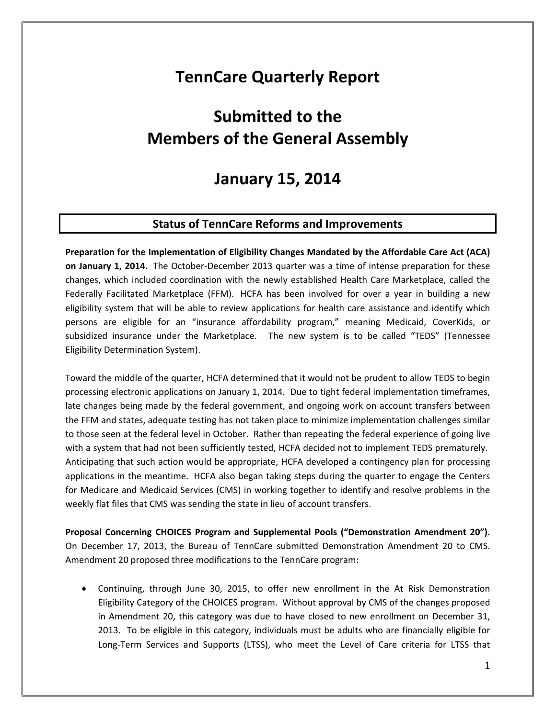# **TennCare Quarterly Report**

# **Submitted to the Members of the General Assembly**

## **January 15, 2014**

### **Status of TennCare Reforms and Improvements**

**Preparation for the Implementation of Eligibility Changes Mandated by the Affordable Care Act (ACA) on January 1, 2014.** The October‐December 2013 quarter was a time of intense preparation for these changes, which included coordination with the newly established Health Care Marketplace, called the Federally Facilitated Marketplace (FFM). HCFA has been involved for over a year in building a new eligibility system that will be able to review applications for health care assistance and identify which persons are eligible for an "insurance affordability program," meaning Medicaid, CoverKids, or subsidized insurance under the Marketplace. The new system is to be called "TEDS" (Tennessee Eligibility Determination System).

Toward the middle of the quarter, HCFA determined that it would not be prudent to allow TEDS to begin processing electronic applications on January 1, 2014. Due to tight federal implementation timeframes, late changes being made by the federal government, and ongoing work on account transfers between the FFM and states, adequate testing has not taken place to minimize implementation challenges similar to those seen at the federal level in October. Rather than repeating the federal experience of going live with a system that had not been sufficiently tested, HCFA decided not to implement TEDS prematurely. Anticipating that such action would be appropriate, HCFA developed a contingency plan for processing applications in the meantime. HCFA also began taking steps during the quarter to engage the Centers for Medicare and Medicaid Services (CMS) in working together to identify and resolve problems in the weekly flat files that CMS was sending the state in lieu of account transfers.

**Proposal Concerning CHOICES Program and Supplemental Pools ("Demonstration Amendment 20").**  On December 17, 2013, the Bureau of TennCare submitted Demonstration Amendment 20 to CMS. Amendment 20 proposed three modifications to the TennCare program:

 Continuing, through June 30, 2015, to offer new enrollment in the At Risk Demonstration Eligibility Category of the CHOICES program. Without approval by CMS of the changes proposed in Amendment 20, this category was due to have closed to new enrollment on December 31, 2013. To be eligible in this category, individuals must be adults who are financially eligible for Long-Term Services and Supports (LTSS), who meet the Level of Care criteria for LTSS that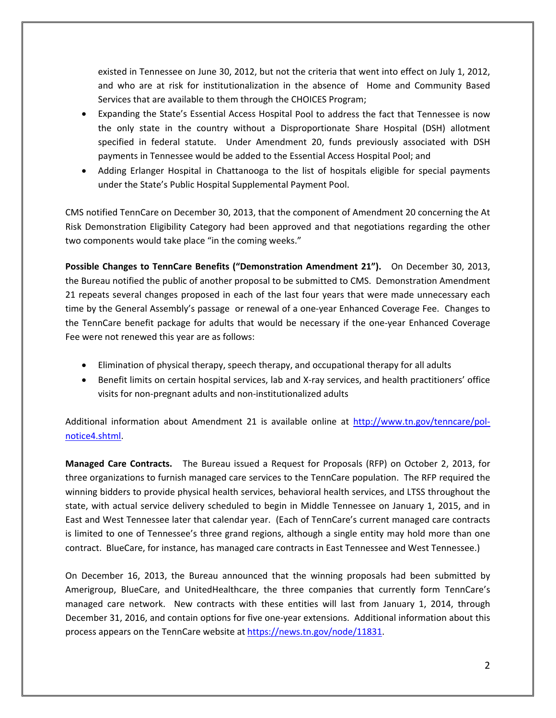existed in Tennessee on June 30, 2012, but not the criteria that went into effect on July 1, 2012, and who are at risk for institutionalization in the absence of Home and Community Based Services that are available to them through the CHOICES Program;

- Expanding the State's Essential Access Hospital Pool to address the fact that Tennessee is now the only state in the country without a Disproportionate Share Hospital (DSH) allotment specified in federal statute. Under Amendment 20, funds previously associated with DSH payments in Tennessee would be added to the Essential Access Hospital Pool; and
- Adding Erlanger Hospital in Chattanooga to the list of hospitals eligible for special payments under the State's Public Hospital Supplemental Payment Pool.

CMS notified TennCare on December 30, 2013, that the component of Amendment 20 concerning the At Risk Demonstration Eligibility Category had been approved and that negotiations regarding the other two components would take place "in the coming weeks."

**Possible Changes to TennCare Benefits ("Demonstration Amendment 21").** On December 30, 2013, the Bureau notified the public of another proposal to be submitted to CMS. Demonstration Amendment 21 repeats several changes proposed in each of the last four years that were made unnecessary each time by the General Assembly's passage or renewal of a one‐year Enhanced Coverage Fee. Changes to the TennCare benefit package for adults that would be necessary if the one‐year Enhanced Coverage Fee were not renewed this year are as follows:

- Elimination of physical therapy, speech therapy, and occupational therapy for all adults
- Benefit limits on certain hospital services, lab and X-ray services, and health practitioners' office visits for non‐pregnant adults and non‐institutionalized adults

Additional information about Amendment 21 is available online at http://www.tn.gov/tenncare/polnotice4.shtml.

**Managed Care Contracts.**  The Bureau issued a Request for Proposals (RFP) on October 2, 2013, for three organizations to furnish managed care services to the TennCare population. The RFP required the winning bidders to provide physical health services, behavioral health services, and LTSS throughout the state, with actual service delivery scheduled to begin in Middle Tennessee on January 1, 2015, and in East and West Tennessee later that calendar year. (Each of TennCare's current managed care contracts is limited to one of Tennessee's three grand regions, although a single entity may hold more than one contract. BlueCare, for instance, has managed care contracts in East Tennessee and West Tennessee.)

On December 16, 2013, the Bureau announced that the winning proposals had been submitted by Amerigroup, BlueCare, and UnitedHealthcare, the three companies that currently form TennCare's managed care network. New contracts with these entities will last from January 1, 2014, through December 31, 2016, and contain options for five one‐year extensions. Additional information about this process appears on the TennCare website at https://news.tn.gov/node/11831.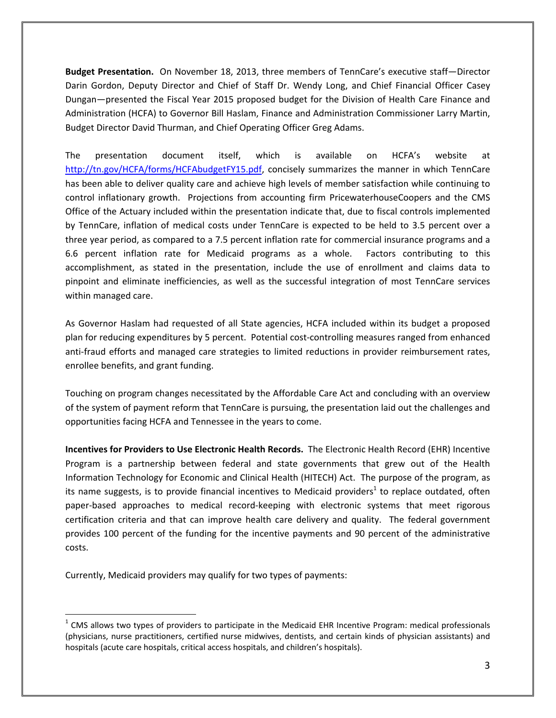**Budget Presentation.** On November 18, 2013, three members of TennCare's executive staff—Director Darin Gordon, Deputy Director and Chief of Staff Dr. Wendy Long, and Chief Financial Officer Casey Dungan—presented the Fiscal Year 2015 proposed budget for the Division of Health Care Finance and Administration (HCFA) to Governor Bill Haslam, Finance and Administration Commissioner Larry Martin, Budget Director David Thurman, and Chief Operating Officer Greg Adams.

The presentation document itself, which is available on HCFA's website at http://tn.gov/HCFA/forms/HCFAbudgetFY15.pdf, concisely summarizes the manner in which TennCare has been able to deliver quality care and achieve high levels of member satisfaction while continuing to control inflationary growth. Projections from accounting firm PricewaterhouseCoopers and the CMS Office of the Actuary included within the presentation indicate that, due to fiscal controls implemented by TennCare, inflation of medical costs under TennCare is expected to be held to 3.5 percent over a three year period, as compared to a 7.5 percent inflation rate for commercial insurance programs and a 6.6 percent inflation rate for Medicaid programs as a whole. Factors contributing to this accomplishment, as stated in the presentation, include the use of enrollment and claims data to pinpoint and eliminate inefficiencies, as well as the successful integration of most TennCare services within managed care.

As Governor Haslam had requested of all State agencies, HCFA included within its budget a proposed plan for reducing expenditures by 5 percent. Potential cost‐controlling measures ranged from enhanced anti‐fraud efforts and managed care strategies to limited reductions in provider reimbursement rates, enrollee benefits, and grant funding.

Touching on program changes necessitated by the Affordable Care Act and concluding with an overview of the system of payment reform that TennCare is pursuing, the presentation laid out the challenges and opportunities facing HCFA and Tennessee in the years to come.

**Incentives for Providers to Use Electronic Health Records.** The Electronic Health Record (EHR) Incentive Program is a partnership between federal and state governments that grew out of the Health Information Technology for Economic and Clinical Health (HITECH) Act. The purpose of the program, as its name suggests, is to provide financial incentives to Medicaid providers<sup>1</sup> to replace outdated, often paper-based approaches to medical record-keeping with electronic systems that meet rigorous certification criteria and that can improve health care delivery and quality. The federal government provides 100 percent of the funding for the incentive payments and 90 percent of the administrative costs.

Currently, Medicaid providers may qualify for two types of payments:

 $1$  CMS allows two types of providers to participate in the Medicaid EHR Incentive Program: medical professionals (physicians, nurse practitioners, certified nurse midwives, dentists, and certain kinds of physician assistants) and hospitals (acute care hospitals, critical access hospitals, and children's hospitals).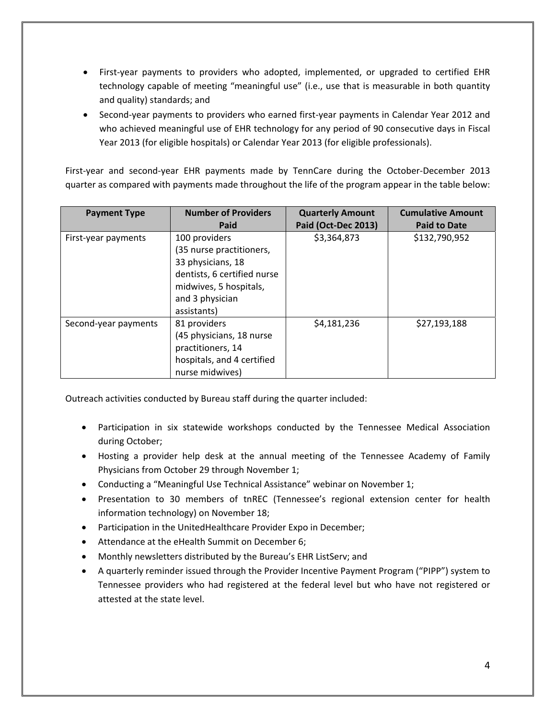- First-year payments to providers who adopted, implemented, or upgraded to certified EHR technology capable of meeting "meaningful use" (i.e., use that is measurable in both quantity and quality) standards; and
- Second-year payments to providers who earned first-year payments in Calendar Year 2012 and who achieved meaningful use of EHR technology for any period of 90 consecutive days in Fiscal Year 2013 (for eligible hospitals) or Calendar Year 2013 (for eligible professionals).

First-year and second-year EHR payments made by TennCare during the October-December 2013 quarter as compared with payments made throughout the life of the program appear in the table below:

| <b>Payment Type</b>  | <b>Number of Providers</b>  | <b>Quarterly Amount</b> | <b>Cumulative Amount</b> |
|----------------------|-----------------------------|-------------------------|--------------------------|
|                      | Paid                        | Paid (Oct-Dec 2013)     | <b>Paid to Date</b>      |
| First-year payments  | 100 providers               | \$3,364,873             | \$132,790,952            |
|                      | (35 nurse practitioners,    |                         |                          |
|                      | 33 physicians, 18           |                         |                          |
|                      | dentists, 6 certified nurse |                         |                          |
|                      | midwives, 5 hospitals,      |                         |                          |
|                      | and 3 physician             |                         |                          |
|                      | assistants)                 |                         |                          |
| Second-year payments | 81 providers                | \$4,181,236             | \$27,193,188             |
|                      | (45 physicians, 18 nurse    |                         |                          |
|                      | practitioners, 14           |                         |                          |
|                      | hospitals, and 4 certified  |                         |                          |
|                      | nurse midwives)             |                         |                          |

Outreach activities conducted by Bureau staff during the quarter included:

- Participation in six statewide workshops conducted by the Tennessee Medical Association during October;
- Hosting a provider help desk at the annual meeting of the Tennessee Academy of Family Physicians from October 29 through November 1;
- Conducting a "Meaningful Use Technical Assistance" webinar on November 1;
- Presentation to 30 members of tnREC (Tennessee's regional extension center for health information technology) on November 18;
- Participation in the UnitedHealthcare Provider Expo in December;
- Attendance at the eHealth Summit on December 6;
- Monthly newsletters distributed by the Bureau's EHR ListServ; and
- A quarterly reminder issued through the Provider Incentive Payment Program ("PIPP") system to Tennessee providers who had registered at the federal level but who have not registered or attested at the state level.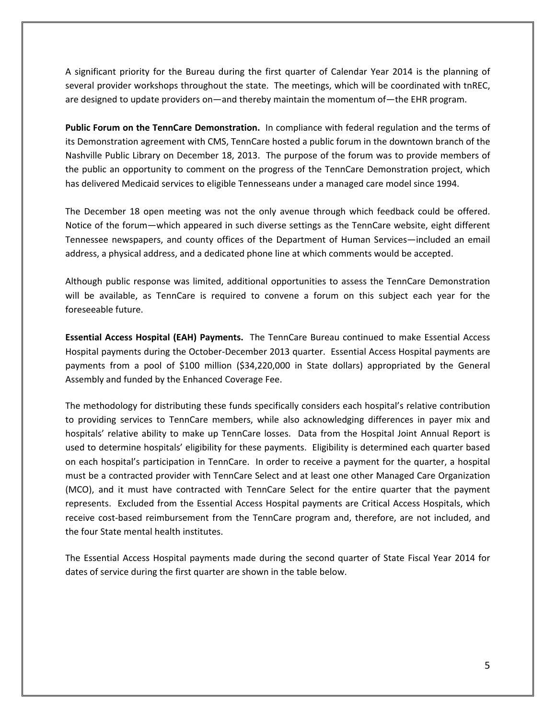A significant priority for the Bureau during the first quarter of Calendar Year 2014 is the planning of several provider workshops throughout the state. The meetings, which will be coordinated with tnREC, are designed to update providers on—and thereby maintain the momentum of—the EHR program.

**Public Forum on the TennCare Demonstration.** In compliance with federal regulation and the terms of its Demonstration agreement with CMS, TennCare hosted a public forum in the downtown branch of the Nashville Public Library on December 18, 2013. The purpose of the forum was to provide members of the public an opportunity to comment on the progress of the TennCare Demonstration project, which has delivered Medicaid services to eligible Tennesseans under a managed care model since 1994.

The December 18 open meeting was not the only avenue through which feedback could be offered. Notice of the forum—which appeared in such diverse settings as the TennCare website, eight different Tennessee newspapers, and county offices of the Department of Human Services—included an email address, a physical address, and a dedicated phone line at which comments would be accepted.

Although public response was limited, additional opportunities to assess the TennCare Demonstration will be available, as TennCare is required to convene a forum on this subject each year for the foreseeable future.

**Essential Access Hospital (EAH) Payments.** The TennCare Bureau continued to make Essential Access Hospital payments during the October‐December 2013 quarter. Essential Access Hospital payments are payments from a pool of \$100 million (\$34,220,000 in State dollars) appropriated by the General Assembly and funded by the Enhanced Coverage Fee.

The methodology for distributing these funds specifically considers each hospital's relative contribution to providing services to TennCare members, while also acknowledging differences in payer mix and hospitals' relative ability to make up TennCare losses. Data from the Hospital Joint Annual Report is used to determine hospitals' eligibility for these payments. Eligibility is determined each quarter based on each hospital's participation in TennCare. In order to receive a payment for the quarter, a hospital must be a contracted provider with TennCare Select and at least one other Managed Care Organization (MCO), and it must have contracted with TennCare Select for the entire quarter that the payment represents. Excluded from the Essential Access Hospital payments are Critical Access Hospitals, which receive cost‐based reimbursement from the TennCare program and, therefore, are not included, and the four State mental health institutes.

The Essential Access Hospital payments made during the second quarter of State Fiscal Year 2014 for dates of service during the first quarter are shown in the table below.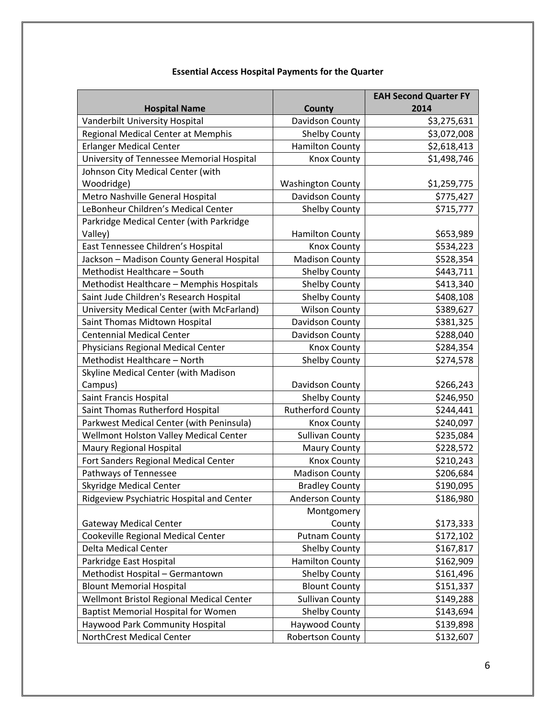|                                            |                          | <b>EAH Second Quarter FY</b> |
|--------------------------------------------|--------------------------|------------------------------|
| <b>Hospital Name</b>                       | County                   | 2014                         |
| Vanderbilt University Hospital             | Davidson County          | \$3,275,631                  |
| Regional Medical Center at Memphis         | <b>Shelby County</b>     | \$3,072,008                  |
| <b>Erlanger Medical Center</b>             | <b>Hamilton County</b>   | \$2,618,413                  |
| University of Tennessee Memorial Hospital  | <b>Knox County</b>       | \$1,498,746                  |
| Johnson City Medical Center (with          |                          |                              |
| Woodridge)                                 | <b>Washington County</b> | \$1,259,775                  |
| Metro Nashville General Hospital           | Davidson County          | \$775,427                    |
| LeBonheur Children's Medical Center        | <b>Shelby County</b>     | \$715,777                    |
| Parkridge Medical Center (with Parkridge   |                          |                              |
| Valley)                                    | <b>Hamilton County</b>   | \$653,989                    |
| East Tennessee Children's Hospital         | <b>Knox County</b>       | \$534,223                    |
| Jackson - Madison County General Hospital  | <b>Madison County</b>    | \$528,354                    |
| Methodist Healthcare - South               | <b>Shelby County</b>     | \$443,711                    |
| Methodist Healthcare - Memphis Hospitals   | <b>Shelby County</b>     | \$413,340                    |
| Saint Jude Children's Research Hospital    | <b>Shelby County</b>     | \$408,108                    |
| University Medical Center (with McFarland) | <b>Wilson County</b>     | \$389,627                    |
| Saint Thomas Midtown Hospital              | Davidson County          | \$381,325                    |
| <b>Centennial Medical Center</b>           | Davidson County          | \$288,040                    |
| Physicians Regional Medical Center         | <b>Knox County</b>       | \$284,354                    |
| Methodist Healthcare - North               | <b>Shelby County</b>     | \$274,578                    |
| Skyline Medical Center (with Madison       |                          |                              |
| Campus)                                    | Davidson County          | \$266,243                    |
| Saint Francis Hospital                     | <b>Shelby County</b>     | \$246,950                    |
| Saint Thomas Rutherford Hospital           | <b>Rutherford County</b> | \$244,441                    |
| Parkwest Medical Center (with Peninsula)   | <b>Knox County</b>       | \$240,097                    |
| Wellmont Holston Valley Medical Center     | <b>Sullivan County</b>   | \$235,084                    |
| Maury Regional Hospital                    | <b>Maury County</b>      | \$228,572                    |
| Fort Sanders Regional Medical Center       | <b>Knox County</b>       | \$210,243                    |
| Pathways of Tennessee                      | <b>Madison County</b>    | \$206,684                    |
| <b>Skyridge Medical Center</b>             | <b>Bradley County</b>    | \$190,095                    |
| Ridgeview Psychiatric Hospital and Center  | Anderson County          | \$186,980                    |
|                                            | Montgomery               |                              |
| <b>Gateway Medical Center</b>              | County                   | \$173,333                    |
| Cookeville Regional Medical Center         | <b>Putnam County</b>     | \$172,102                    |
| Delta Medical Center                       | Shelby County            | \$167,817                    |
| Parkridge East Hospital                    | <b>Hamilton County</b>   | \$162,909                    |
| Methodist Hospital - Germantown            | Shelby County            | \$161,496                    |
| <b>Blount Memorial Hospital</b>            | <b>Blount County</b>     | \$151,337                    |
| Wellmont Bristol Regional Medical Center   | <b>Sullivan County</b>   | \$149,288                    |
| <b>Baptist Memorial Hospital for Women</b> | <b>Shelby County</b>     | \$143,694                    |
| Haywood Park Community Hospital            | Haywood County           | \$139,898                    |
| NorthCrest Medical Center                  | <b>Robertson County</b>  | \$132,607                    |

### **Essential Access Hospital Payments for the Quarter**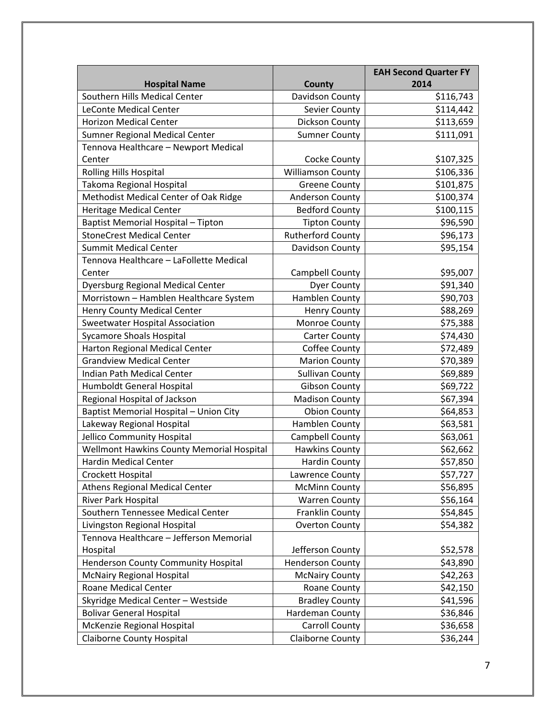|                                           |                          | <b>EAH Second Quarter FY</b> |
|-------------------------------------------|--------------------------|------------------------------|
| <b>Hospital Name</b>                      | <b>County</b>            | 2014                         |
| Southern Hills Medical Center             | Davidson County          | \$116,743                    |
| <b>LeConte Medical Center</b>             | Sevier County            | \$114,442                    |
| <b>Horizon Medical Center</b>             | Dickson County           | \$113,659                    |
| <b>Sumner Regional Medical Center</b>     | <b>Sumner County</b>     | \$111,091                    |
| Tennova Healthcare - Newport Medical      |                          |                              |
| Center                                    | Cocke County             | \$107,325                    |
| Rolling Hills Hospital                    | <b>Williamson County</b> | \$106,336                    |
| Takoma Regional Hospital                  | <b>Greene County</b>     | \$101,875                    |
| Methodist Medical Center of Oak Ridge     | <b>Anderson County</b>   | \$100,374                    |
| Heritage Medical Center                   | <b>Bedford County</b>    | \$100,115                    |
| Baptist Memorial Hospital - Tipton        | <b>Tipton County</b>     | \$96,590                     |
| <b>StoneCrest Medical Center</b>          | <b>Rutherford County</b> | \$96,173                     |
| <b>Summit Medical Center</b>              | Davidson County          | \$95,154                     |
| Tennova Healthcare - LaFollette Medical   |                          |                              |
| Center                                    | Campbell County          | \$95,007                     |
| Dyersburg Regional Medical Center         | <b>Dyer County</b>       | \$91,340                     |
| Morristown - Hamblen Healthcare System    | <b>Hamblen County</b>    | \$90,703                     |
| Henry County Medical Center               | <b>Henry County</b>      | \$88,269                     |
| <b>Sweetwater Hospital Association</b>    | Monroe County            | \$75,388                     |
| <b>Sycamore Shoals Hospital</b>           | <b>Carter County</b>     | \$74,430                     |
| Harton Regional Medical Center            | Coffee County            | \$72,489                     |
| <b>Grandview Medical Center</b>           | <b>Marion County</b>     | \$70,389                     |
| Indian Path Medical Center                | <b>Sullivan County</b>   | \$69,889                     |
| Humboldt General Hospital                 | <b>Gibson County</b>     | \$69,722                     |
| Regional Hospital of Jackson              | <b>Madison County</b>    | \$67,394                     |
| Baptist Memorial Hospital - Union City    | <b>Obion County</b>      | \$64,853                     |
| Lakeway Regional Hospital                 | <b>Hamblen County</b>    | \$63,581                     |
| Jellico Community Hospital                | Campbell County          | \$63,061                     |
| Wellmont Hawkins County Memorial Hospital | <b>Hawkins County</b>    | \$62,662                     |
| <b>Hardin Medical Center</b>              | <b>Hardin County</b>     | \$57,850                     |
| Crockett Hospital                         | Lawrence County          | \$57,727                     |
| <b>Athens Regional Medical Center</b>     | <b>McMinn County</b>     | \$56,895                     |
| River Park Hospital                       | <b>Warren County</b>     | \$56,164                     |
| Southern Tennessee Medical Center         | Franklin County          | \$54,845                     |
| Livingston Regional Hospital              | <b>Overton County</b>    | \$54,382                     |
| Tennova Healthcare - Jefferson Memorial   |                          |                              |
| Hospital                                  | Jefferson County         | \$52,578                     |
| Henderson County Community Hospital       | <b>Henderson County</b>  | \$43,890                     |
| <b>McNairy Regional Hospital</b>          | <b>McNairy County</b>    | \$42,263                     |
| Roane Medical Center                      | Roane County             | \$42,150                     |
| Skyridge Medical Center - Westside        | <b>Bradley County</b>    | \$41,596                     |
| <b>Bolivar General Hospital</b>           | Hardeman County          | \$36,846                     |
| McKenzie Regional Hospital                | <b>Carroll County</b>    | \$36,658                     |
| <b>Claiborne County Hospital</b>          | <b>Claiborne County</b>  | \$36,244                     |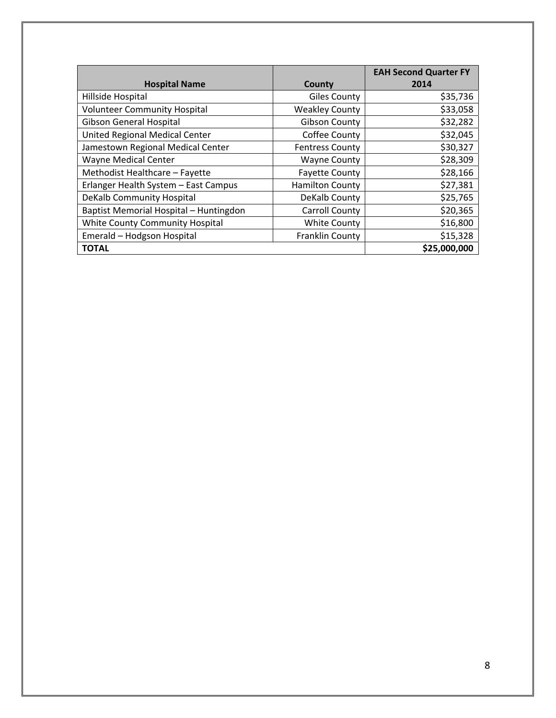|                                        |                        | <b>EAH Second Quarter FY</b> |
|----------------------------------------|------------------------|------------------------------|
| <b>Hospital Name</b>                   | County                 | 2014                         |
| Hillside Hospital                      | <b>Giles County</b>    | \$35,736                     |
| <b>Volunteer Community Hospital</b>    | <b>Weakley County</b>  | \$33,058                     |
| <b>Gibson General Hospital</b>         | <b>Gibson County</b>   | \$32,282                     |
| United Regional Medical Center         | Coffee County          | \$32,045                     |
| Jamestown Regional Medical Center      | <b>Fentress County</b> | \$30,327                     |
| Wayne Medical Center                   | <b>Wayne County</b>    | \$28,309                     |
| Methodist Healthcare - Fayette         | <b>Fayette County</b>  | \$28,166                     |
| Erlanger Health System - East Campus   | <b>Hamilton County</b> | \$27,381                     |
| DeKalb Community Hospital              | DeKalb County          | \$25,765                     |
| Baptist Memorial Hospital - Huntingdon | Carroll County         | \$20,365                     |
| White County Community Hospital        | <b>White County</b>    | \$16,800                     |
| Emerald - Hodgson Hospital             | <b>Franklin County</b> | \$15,328                     |
| <b>TOTAL</b>                           |                        | \$25,000,000                 |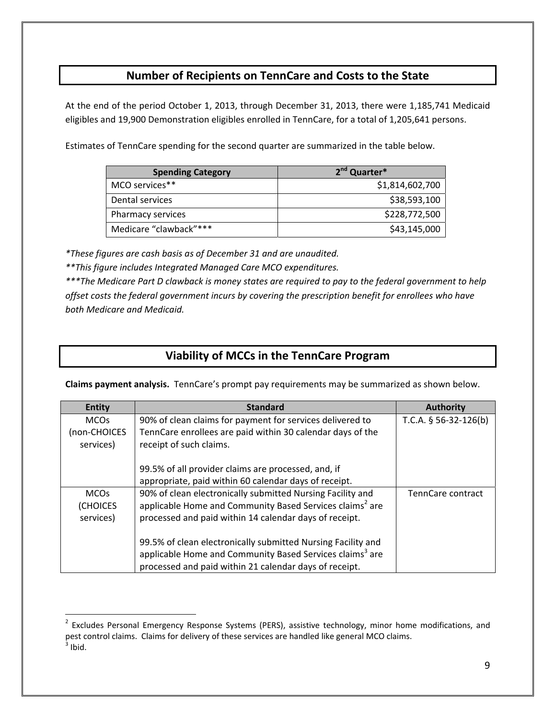### **Number of Recipients on TennCare and Costs to the State**

At the end of the period October 1, 2013, through December 31, 2013, there were 1,185,741 Medicaid eligibles and 19,900 Demonstration eligibles enrolled in TennCare, for a total of 1,205,641 persons.

Estimates of TennCare spending for the second quarter are summarized in the table below.

| <b>Spending Category</b> | 2 <sup>nd</sup> Quarter* |
|--------------------------|--------------------------|
| MCO services**           | \$1,814,602,700          |
| Dental services          | \$38,593,100             |
| Pharmacy services        | \$228,772,500            |
| Medicare "clawback"***   | \$43,145,000             |

*\*These figures are cash basis as of December 31 and are unaudited.*

*\*\*This figure includes Integrated Managed Care MCO expenditures.*

\*\*\*The Medicare Part D clawback is money states are required to pay to the federal government to help *offset costs the federal government incurs by covering the prescription benefit for enrollees who have both Medicare and Medicaid.*

### **Viability of MCCs in the TennCare Program**

**Claims payment analysis.** TennCare's prompt pay requirements may be summarized as shown below.

| <b>Entity</b> | <b>Standard</b>                                                      | Authority               |
|---------------|----------------------------------------------------------------------|-------------------------|
| <b>MCOs</b>   | 90% of clean claims for payment for services delivered to            | T.C.A. $§$ 56-32-126(b) |
| (non-CHOICES  | TennCare enrollees are paid within 30 calendar days of the           |                         |
| services)     | receipt of such claims.                                              |                         |
|               |                                                                      |                         |
|               | 99.5% of all provider claims are processed, and, if                  |                         |
|               | appropriate, paid within 60 calendar days of receipt.                |                         |
| <b>MCOs</b>   | 90% of clean electronically submitted Nursing Facility and           | TennCare contract       |
| (CHOICES      | applicable Home and Community Based Services claims <sup>2</sup> are |                         |
| services)     | processed and paid within 14 calendar days of receipt.               |                         |
|               |                                                                      |                         |
|               | 99.5% of clean electronically submitted Nursing Facility and         |                         |
|               | applicable Home and Community Based Services claims <sup>3</sup> are |                         |
|               | processed and paid within 21 calendar days of receipt.               |                         |

<sup>&</sup>lt;sup>2</sup> Excludes Personal Emergency Response Systems (PERS), assistive technology, minor home modifications, and pest control claims. Claims for delivery of these services are handled like general MCO claims.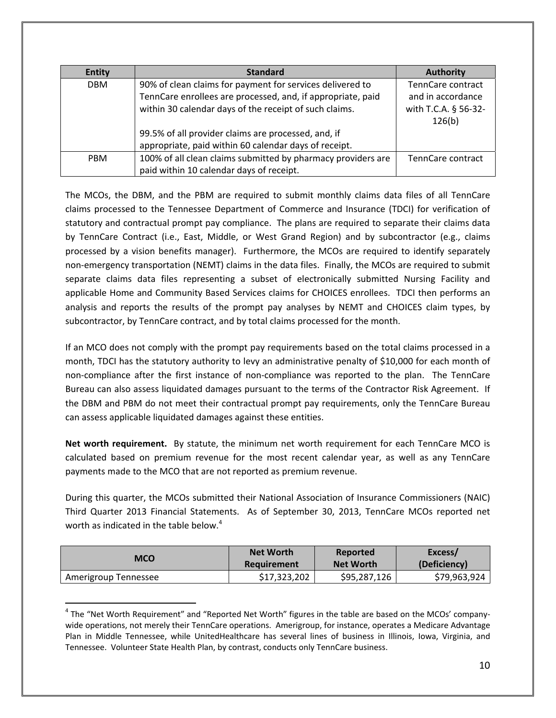| <b>Entity</b> | <b>Standard</b>                                              | <b>Authority</b>     |
|---------------|--------------------------------------------------------------|----------------------|
| <b>DBM</b>    | 90% of clean claims for payment for services delivered to    | TennCare contract    |
|               | TennCare enrollees are processed, and, if appropriate, paid  | and in accordance    |
|               | within 30 calendar days of the receipt of such claims.       | with T.C.A. § 56-32- |
|               |                                                              | 126(b)               |
|               | 99.5% of all provider claims are processed, and, if          |                      |
|               | appropriate, paid within 60 calendar days of receipt.        |                      |
| <b>PBM</b>    | 100% of all clean claims submitted by pharmacy providers are | TennCare contract    |
|               | paid within 10 calendar days of receipt.                     |                      |

The MCOs, the DBM, and the PBM are required to submit monthly claims data files of all TennCare claims processed to the Tennessee Department of Commerce and Insurance (TDCI) for verification of statutory and contractual prompt pay compliance. The plans are required to separate their claims data by TennCare Contract (i.e., East, Middle, or West Grand Region) and by subcontractor (e.g., claims processed by a vision benefits manager). Furthermore, the MCOs are required to identify separately non-emergency transportation (NEMT) claims in the data files. Finally, the MCOs are required to submit separate claims data files representing a subset of electronically submitted Nursing Facility and applicable Home and Community Based Services claims for CHOICES enrollees. TDCI then performs an analysis and reports the results of the prompt pay analyses by NEMT and CHOICES claim types, by subcontractor, by TennCare contract, and by total claims processed for the month.

If an MCO does not comply with the prompt pay requirements based on the total claims processed in a month, TDCI has the statutory authority to levy an administrative penalty of \$10,000 for each month of non-compliance after the first instance of non-compliance was reported to the plan. The TennCare Bureau can also assess liquidated damages pursuant to the terms of the Contractor Risk Agreement. If the DBM and PBM do not meet their contractual prompt pay requirements, only the TennCare Bureau can assess applicable liquidated damages against these entities.

**Net worth requirement.** By statute, the minimum net worth requirement for each TennCare MCO is calculated based on premium revenue for the most recent calendar year, as well as any TennCare payments made to the MCO that are not reported as premium revenue.

During this quarter, the MCOs submitted their National Association of Insurance Commissioners (NAIC) Third Quarter 2013 Financial Statements. As of September 30, 2013, TennCare MCOs reported net worth as indicated in the table below.<sup>4</sup>

| MCO                  | <b>Net Worth</b> | Reported         | Excess/      |
|----------------------|------------------|------------------|--------------|
|                      | Requirement      | <b>Net Worth</b> | (Deficiency) |
| Amerigroup Tennessee | \$17,323,202     | \$95,287,126     | \$79,963,924 |

<sup>&</sup>lt;sup>4</sup> The "Net Worth Requirement" and "Reported Net Worth" figures in the table are based on the MCOs' companywide operations, not merely their TennCare operations. Amerigroup, for instance, operates a Medicare Advantage Plan in Middle Tennessee, while UnitedHealthcare has several lines of business in Illinois, Iowa, Virginia, and Tennessee. Volunteer State Health Plan, by contrast, conducts only TennCare business.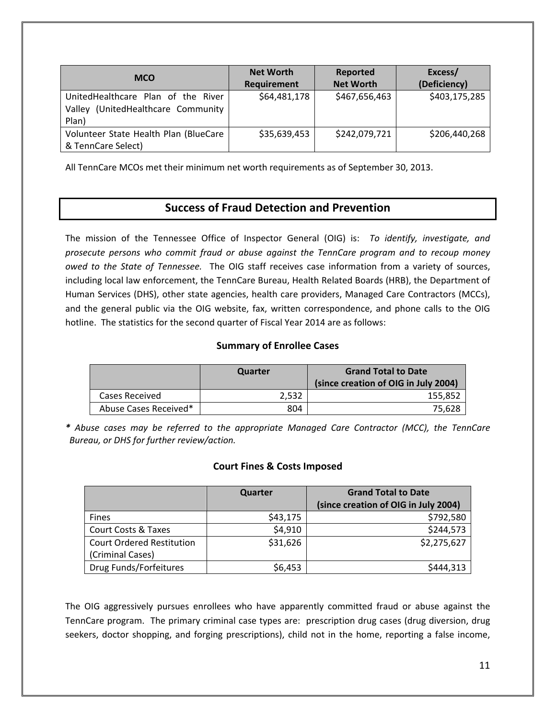| <b>MCO</b>                                                                        | <b>Net Worth</b><br>Requirement | Reported<br><b>Net Worth</b> | Excess/<br>(Deficiency) |
|-----------------------------------------------------------------------------------|---------------------------------|------------------------------|-------------------------|
| UnitedHealthcare Plan of the River<br>Valley (UnitedHealthcare Community<br>Plan) | \$64,481,178                    | \$467,656,463                | \$403,175,285           |
| Volunteer State Health Plan (BlueCare<br>& TennCare Select)                       | \$35,639,453                    | \$242,079,721                | \$206,440,268           |

All TennCare MCOs met their minimum net worth requirements as of September 30, 2013.

### **Success of Fraud Detection and Prevention**

The mission of the Tennessee Office of Inspector General (OIG) is: *To identify, investigate, and prosecute persons who commit fraud or abuse against the TennCare program and to recoup money owed to the State of Tennessee.*  The OIG staff receives case information from a variety of sources, including local law enforcement, the TennCare Bureau, Health Related Boards (HRB), the Department of Human Services (DHS), other state agencies, health care providers, Managed Care Contractors (MCCs), and the general public via the OIG website, fax, written correspondence, and phone calls to the OIG hotline. The statistics for the second quarter of Fiscal Year 2014 are as follows:

#### **Summary of Enrollee Cases**

|                       | Quarter | <b>Grand Total to Date</b><br>(since creation of OIG in July 2004) |
|-----------------------|---------|--------------------------------------------------------------------|
| Cases Received        | 2.532   | 155,852                                                            |
| Abuse Cases Received* | 804     | 75.628                                                             |

*\* Abuse cases may be referred to the appropriate Managed Care Contractor (MCC), the TennCare Bureau, or DHS for further review/action.*

#### **Court Fines & Costs Imposed**

|                                  | Quarter  | <b>Grand Total to Date</b><br>(since creation of OIG in July 2004) |
|----------------------------------|----------|--------------------------------------------------------------------|
| <b>Fines</b>                     | \$43,175 | \$792,580                                                          |
| Court Costs & Taxes              | \$4,910  | \$244,573                                                          |
| <b>Court Ordered Restitution</b> | \$31,626 | \$2,275,627                                                        |
| (Criminal Cases)                 |          |                                                                    |
| Drug Funds/Forfeitures           | \$6,453  | \$444,313                                                          |

The OIG aggressively pursues enrollees who have apparently committed fraud or abuse against the TennCare program. The primary criminal case types are: prescription drug cases (drug diversion, drug seekers, doctor shopping, and forging prescriptions), child not in the home, reporting a false income,